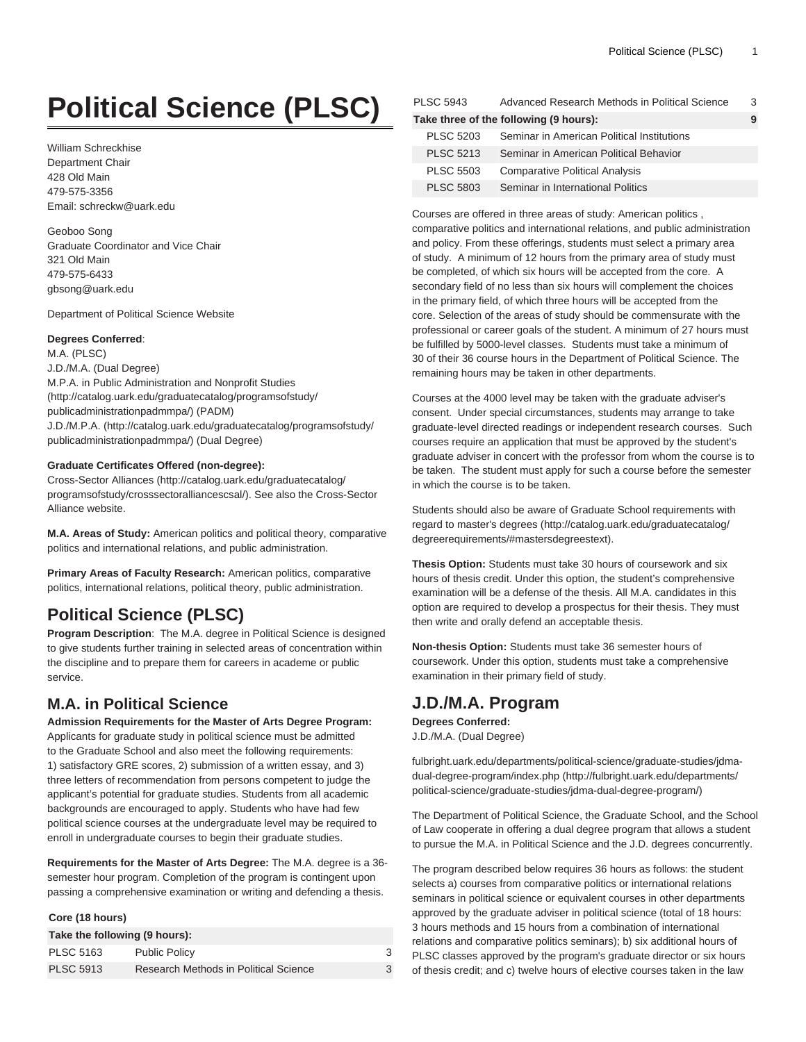# **Political Science (PLSC)**

William Schreckhise Department Chair 428 Old Main 479-575-3356 Email: [schreckw@uark.edu](mailto:schreckw@uark.edu)

Geoboo Song Graduate Coordinator and Vice Chair 321 Old Main 479-575-6433 [gbsong@uark.edu](mailto:gbsong@uark.edu)

Department of Political Science Website

# **Degrees Conferred**:

M.A. (PLSC) J.D./M.A. (Dual Degree) [M.P.A. in Public Administration and Nonprofit Studies](http://catalog.uark.edu/graduatecatalog/programsofstudy/publicadministrationpadmmpa/) ([http://catalog.uark.edu/graduatecatalog/programsofstudy/](http://catalog.uark.edu/graduatecatalog/programsofstudy/publicadministrationpadmmpa/) [publicadministrationpadmmpa/](http://catalog.uark.edu/graduatecatalog/programsofstudy/publicadministrationpadmmpa/)) (PADM) [J.D./M.P.A.](http://catalog.uark.edu/graduatecatalog/programsofstudy/publicadministrationpadmmpa/) [\(http://catalog.uark.edu/graduatecatalog/programsofstudy/](http://catalog.uark.edu/graduatecatalog/programsofstudy/publicadministrationpadmmpa/) [publicadministrationpadmmpa/](http://catalog.uark.edu/graduatecatalog/programsofstudy/publicadministrationpadmmpa/)) (Dual Degree)

# **Graduate Certificates Offered (non-degree):**

[Cross-Sector Alliances](http://catalog.uark.edu/graduatecatalog/programsofstudy/crosssectoralliancescsal/) ([http://catalog.uark.edu/graduatecatalog/](http://catalog.uark.edu/graduatecatalog/programsofstudy/crosssectoralliancescsal/) [programsofstudy/crosssectoralliancescsal/](http://catalog.uark.edu/graduatecatalog/programsofstudy/crosssectoralliancescsal/)). See also the Cross-Sector Alliance website.

**M.A. Areas of Study:** American politics and political theory, comparative politics and international relations, and public administration.

**Primary Areas of Faculty Research:** American politics, comparative politics, international relations, political theory, public administration.

# **Political Science (PLSC)**

**Program Description**: The M.A. degree in Political Science is designed to give students further training in selected areas of concentration within the discipline and to prepare them for careers in academe or public service.

# **M.A. in Political Science**

**Admission Requirements for the Master of Arts Degree Program:** Applicants for graduate study in political science must be admitted to the Graduate School and also meet the following requirements: 1) satisfactory GRE scores, 2) submission of a written essay, and 3) three letters of recommendation from persons competent to judge the applicant's potential for graduate studies. Students from all academic backgrounds are encouraged to apply. Students who have had few political science courses at the undergraduate level may be required to enroll in undergraduate courses to begin their graduate studies.

**Requirements for the Master of Arts Degree:** The M.A. degree is a 36 semester hour program. Completion of the program is contingent upon passing a comprehensive examination or writing and defending a thesis.

# **Core (18 hours)**

| Take the following (9 hours): |                                       |  |  |
|-------------------------------|---------------------------------------|--|--|
| <b>PLSC 5163</b>              | <b>Public Policy</b>                  |  |  |
| <b>PLSC 5913</b>              | Research Methods in Political Science |  |  |

| <b>PLSC 5943</b> | Advanced Research Methods in Political Science | 3 |
|------------------|------------------------------------------------|---|
|                  | Take three of the following (9 hours):         |   |
| <b>PLSC 5203</b> | Seminar in American Political Institutions     |   |
| <b>PLSC 5213</b> | Seminar in American Political Behavior         |   |
| <b>PLSC 5503</b> | <b>Comparative Political Analysis</b>          |   |
| <b>PLSC 5803</b> | Seminar in International Politics              |   |

Courses are offered in three areas of study: American politics , comparative politics and international relations, and public administration and policy. From these offerings, students must select a primary area of study. A minimum of 12 hours from the primary area of study must be completed, of which six hours will be accepted from the core. A secondary field of no less than six hours will complement the choices in the primary field, of which three hours will be accepted from the core. Selection of the areas of study should be commensurate with the professional or career goals of the student. A minimum of 27 hours must be fulfilled by 5000-level classes. Students must take a minimum of 30 of their 36 course hours in the Department of Political Science. The remaining hours may be taken in other departments.

Courses at the 4000 level may be taken with the graduate adviser's consent. Under special circumstances, students may arrange to take graduate-level directed readings or independent research courses. Such courses require an application that must be approved by the student's graduate adviser in concert with the professor from whom the course is to be taken. The student must apply for such a course before the semester in which the course is to be taken.

Students should also be aware of Graduate School requirements with regard to [master's degrees \(http://catalog.uark.edu/graduatecatalog/](http://catalog.uark.edu/graduatecatalog/degreerequirements/#mastersdegreestext) [degreerequirements/#mastersdegreestext\)](http://catalog.uark.edu/graduatecatalog/degreerequirements/#mastersdegreestext).

**Thesis Option:** Students must take 30 hours of coursework and six hours of thesis credit. Under this option, the student's comprehensive examination will be a defense of the thesis. All M.A. candidates in this option are required to develop a prospectus for their thesis. They must then write and orally defend an acceptable thesis.

**Non-thesis Option:** Students must take 36 semester hours of coursework. Under this option, students must take a comprehensive examination in their primary field of study.

# **J.D./M.A. Program**

**Degrees Conferred:** J.D./M.A. (Dual Degree)

[fulbright.uark.edu/departments/political-science/graduate-studies/jdma](http://fulbright.uark.edu/departments/political-science/graduate-studies/jdma-dual-degree-program/)[dual-degree-program/index.php](http://fulbright.uark.edu/departments/political-science/graduate-studies/jdma-dual-degree-program/) [\(http://fulbright.uark.edu/departments/](http://fulbright.uark.edu/departments/political-science/graduate-studies/jdma-dual-degree-program/) [political-science/graduate-studies/jdma-dual-degree-program/](http://fulbright.uark.edu/departments/political-science/graduate-studies/jdma-dual-degree-program/))

The Department of Political Science, the Graduate School, and the School of Law cooperate in offering a dual degree program that allows a student to pursue the M.A. in Political Science and the J.D. degrees concurrently.

The program described below requires 36 hours as follows: the student selects a) courses from comparative politics or international relations seminars in political science or equivalent courses in other departments approved by the graduate adviser in political science (total of 18 hours: 3 hours methods and 15 hours from a combination of international relations and comparative politics seminars); b) six additional hours of PLSC classes approved by the program's graduate director or six hours of thesis credit; and c) twelve hours of elective courses taken in the law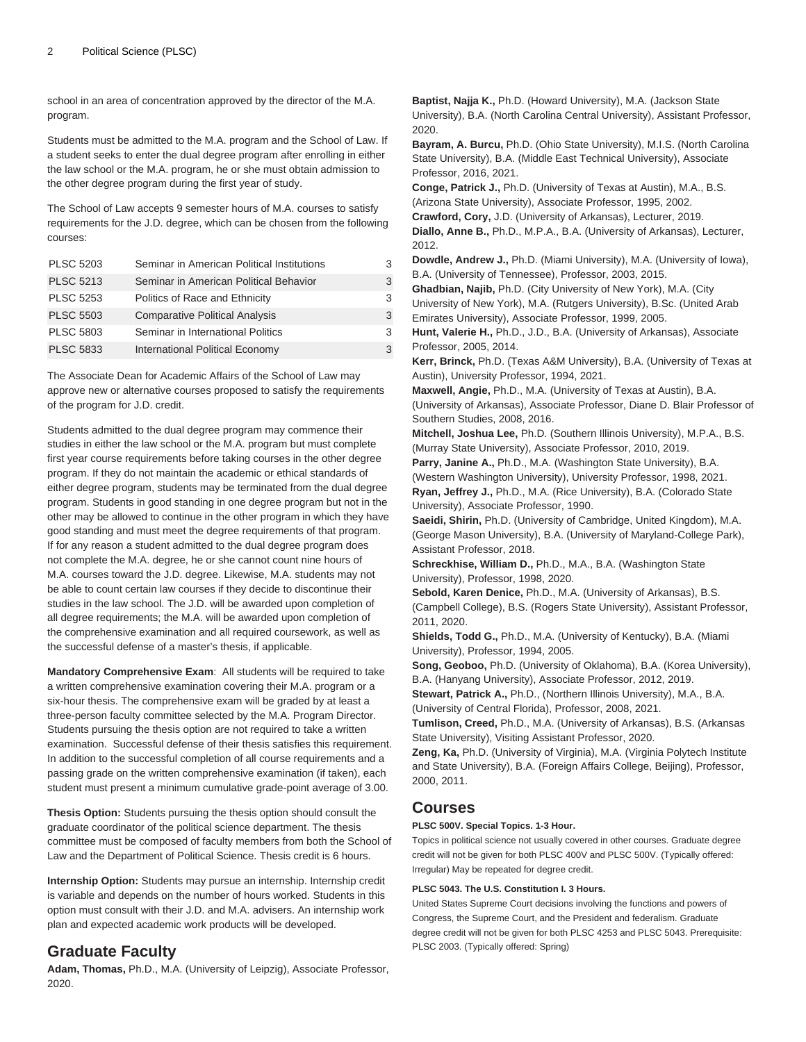school in an area of concentration approved by the director of the M.A. program.

Students must be admitted to the M.A. program and the School of Law. If a student seeks to enter the dual degree program after enrolling in either the law school or the M.A. program, he or she must obtain admission to the other degree program during the first year of study.

The School of Law accepts 9 semester hours of M.A. courses to satisfy requirements for the J.D. degree, which can be chosen from the following courses:

| <b>PLSC 5203</b> | Seminar in American Political Institutions |   |
|------------------|--------------------------------------------|---|
| <b>PLSC 5213</b> | Seminar in American Political Behavior     | 3 |
| <b>PLSC 5253</b> | Politics of Race and Ethnicity             | 3 |
| <b>PLSC 5503</b> | <b>Comparative Political Analysis</b>      | 3 |
| <b>PLSC 5803</b> | Seminar in International Politics          | 3 |
| <b>PLSC 5833</b> | International Political Economy            |   |

The Associate Dean for Academic Affairs of the School of Law may approve new or alternative courses proposed to satisfy the requirements of the program for J.D. credit.

Students admitted to the dual degree program may commence their studies in either the law school or the M.A. program but must complete first year course requirements before taking courses in the other degree program. If they do not maintain the academic or ethical standards of either degree program, students may be terminated from the dual degree program. Students in good standing in one degree program but not in the other may be allowed to continue in the other program in which they have good standing and must meet the degree requirements of that program. If for any reason a student admitted to the dual degree program does not complete the M.A. degree, he or she cannot count nine hours of M.A. courses toward the J.D. degree. Likewise, M.A. students may not be able to count certain law courses if they decide to discontinue their studies in the law school. The J.D. will be awarded upon completion of all degree requirements; the M.A. will be awarded upon completion of the comprehensive examination and all required coursework, as well as the successful defense of a master's thesis, if applicable.

**Mandatory Comprehensive Exam**: All students will be required to take a written comprehensive examination covering their M.A. program or a six-hour thesis. The comprehensive exam will be graded by at least a three-person faculty committee selected by the M.A. Program Director. Students pursuing the thesis option are not required to take a written examination. Successful defense of their thesis satisfies this requirement. In addition to the successful completion of all course requirements and a passing grade on the written comprehensive examination (if taken), each student must present a minimum cumulative grade-point average of 3.00.

**Thesis Option:** Students pursuing the thesis option should consult the graduate coordinator of the political science department. The thesis committee must be composed of faculty members from both the School of Law and the Department of Political Science. Thesis credit is 6 hours.

**Internship Option:** Students may pursue an internship. Internship credit is variable and depends on the number of hours worked. Students in this option must consult with their J.D. and M.A. advisers. An internship work plan and expected academic work products will be developed.

# **Graduate Faculty**

**Adam, Thomas,** Ph.D., M.A. (University of Leipzig), Associate Professor, 2020.

**Baptist, Najja K.,** Ph.D. (Howard University), M.A. (Jackson State University), B.A. (North Carolina Central University), Assistant Professor, 2020. **Bayram, A. Burcu,** Ph.D. (Ohio State University), M.I.S. (North Carolina State University), B.A. (Middle East Technical University), Associate Professor, 2016, 2021. **Conge, Patrick J.,** Ph.D. (University of Texas at Austin), M.A., B.S. (Arizona State University), Associate Professor, 1995, 2002. **Crawford, Cory,** J.D. (University of Arkansas), Lecturer, 2019. **Diallo, Anne B.,** Ph.D., M.P.A., B.A. (University of Arkansas), Lecturer, 2012. **Dowdle, Andrew J.,** Ph.D. (Miami University), M.A. (University of Iowa), B.A. (University of Tennessee), Professor, 2003, 2015. **Ghadbian, Najib,** Ph.D. (City University of New York), M.A. (City University of New York), M.A. (Rutgers University), B.Sc. (United Arab Emirates University), Associate Professor, 1999, 2005. **Hunt, Valerie H.,** Ph.D., J.D., B.A. (University of Arkansas), Associate Professor, 2005, 2014. **Kerr, Brinck,** Ph.D. (Texas A&M University), B.A. (University of Texas at Austin), University Professor, 1994, 2021. **Maxwell, Angie,** Ph.D., M.A. (University of Texas at Austin), B.A. (University of Arkansas), Associate Professor, Diane D. Blair Professor of Southern Studies, 2008, 2016. **Mitchell, Joshua Lee,** Ph.D. (Southern Illinois University), M.P.A., B.S. (Murray State University), Associate Professor, 2010, 2019.

**Parry, Janine A.,** Ph.D., M.A. (Washington State University), B.A. (Western Washington University), University Professor, 1998, 2021. **Ryan, Jeffrey J.,** Ph.D., M.A. (Rice University), B.A. (Colorado State University), Associate Professor, 1990.

**Saeidi, Shirin,** Ph.D. (University of Cambridge, United Kingdom), M.A. (George Mason University), B.A. (University of Maryland-College Park), Assistant Professor, 2018.

**Schreckhise, William D.,** Ph.D., M.A., B.A. (Washington State University), Professor, 1998, 2020.

**Sebold, Karen Denice,** Ph.D., M.A. (University of Arkansas), B.S. (Campbell College), B.S. (Rogers State University), Assistant Professor, 2011, 2020.

**Shields, Todd G.,** Ph.D., M.A. (University of Kentucky), B.A. (Miami University), Professor, 1994, 2005.

**Song, Geoboo,** Ph.D. (University of Oklahoma), B.A. (Korea University), B.A. (Hanyang University), Associate Professor, 2012, 2019.

**Stewart, Patrick A.,** Ph.D., (Northern Illinois University), M.A., B.A. (University of Central Florida), Professor, 2008, 2021.

**Tumlison, Creed,** Ph.D., M.A. (University of Arkansas), B.S. (Arkansas State University), Visiting Assistant Professor, 2020.

**Zeng, Ka,** Ph.D. (University of Virginia), M.A. (Virginia Polytech Institute and State University), B.A. (Foreign Affairs College, Beijing), Professor, 2000, 2011.

# **Courses**

# **PLSC 500V. Special Topics. 1-3 Hour.**

Topics in political science not usually covered in other courses. Graduate degree credit will not be given for both [PLSC 400V](/search/?P=PLSC%20400V) and [PLSC 500V](/search/?P=PLSC%20500V). (Typically offered: Irregular) May be repeated for degree credit.

# **PLSC 5043. The U.S. Constitution I. 3 Hours.**

United States Supreme Court decisions involving the functions and powers of Congress, the Supreme Court, and the President and federalism. Graduate degree credit will not be given for both [PLSC 4253](/search/?P=PLSC%204253) and [PLSC 5043.](/search/?P=PLSC%205043) Prerequisite: [PLSC 2003.](/search/?P=PLSC%202003) (Typically offered: Spring)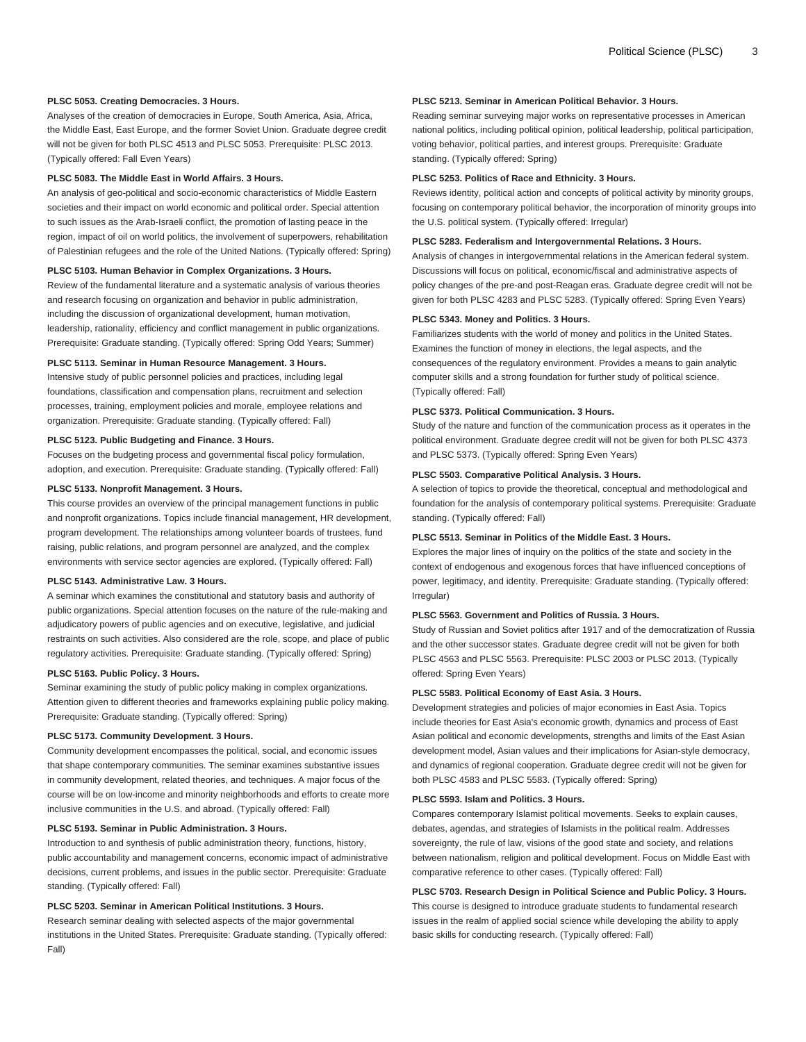#### **PLSC 5053. Creating Democracies. 3 Hours.**

Analyses of the creation of democracies in Europe, South America, Asia, Africa, the Middle East, East Europe, and the former Soviet Union. Graduate degree credit will not be given for both [PLSC 4513](/search/?P=PLSC%204513) and [PLSC 5053.](/search/?P=PLSC%205053) Prerequisite: [PLSC 2013.](/search/?P=PLSC%202013) (Typically offered: Fall Even Years)

# **PLSC 5083. The Middle East in World Affairs. 3 Hours.**

An analysis of geo-political and socio-economic characteristics of Middle Eastern societies and their impact on world economic and political order. Special attention to such issues as the Arab-Israeli conflict, the promotion of lasting peace in the region, impact of oil on world politics, the involvement of superpowers, rehabilitation of Palestinian refugees and the role of the United Nations. (Typically offered: Spring)

# **PLSC 5103. Human Behavior in Complex Organizations. 3 Hours.**

Review of the fundamental literature and a systematic analysis of various theories and research focusing on organization and behavior in public administration, including the discussion of organizational development, human motivation, leadership, rationality, efficiency and conflict management in public organizations. Prerequisite: Graduate standing. (Typically offered: Spring Odd Years; Summer)

#### **PLSC 5113. Seminar in Human Resource Management. 3 Hours.**

Intensive study of public personnel policies and practices, including legal foundations, classification and compensation plans, recruitment and selection processes, training, employment policies and morale, employee relations and organization. Prerequisite: Graduate standing. (Typically offered: Fall)

#### **PLSC 5123. Public Budgeting and Finance. 3 Hours.**

Focuses on the budgeting process and governmental fiscal policy formulation, adoption, and execution. Prerequisite: Graduate standing. (Typically offered: Fall)

#### **PLSC 5133. Nonprofit Management. 3 Hours.**

This course provides an overview of the principal management functions in public and nonprofit organizations. Topics include financial management, HR development, program development. The relationships among volunteer boards of trustees, fund raising, public relations, and program personnel are analyzed, and the complex environments with service sector agencies are explored. (Typically offered: Fall)

## **PLSC 5143. Administrative Law. 3 Hours.**

A seminar which examines the constitutional and statutory basis and authority of public organizations. Special attention focuses on the nature of the rule-making and adjudicatory powers of public agencies and on executive, legislative, and judicial restraints on such activities. Also considered are the role, scope, and place of public regulatory activities. Prerequisite: Graduate standing. (Typically offered: Spring)

#### **PLSC 5163. Public Policy. 3 Hours.**

Seminar examining the study of public policy making in complex organizations. Attention given to different theories and frameworks explaining public policy making. Prerequisite: Graduate standing. (Typically offered: Spring)

# **PLSC 5173. Community Development. 3 Hours.**

Community development encompasses the political, social, and economic issues that shape contemporary communities. The seminar examines substantive issues in community development, related theories, and techniques. A major focus of the course will be on low-income and minority neighborhoods and efforts to create more inclusive communities in the U.S. and abroad. (Typically offered: Fall)

#### **PLSC 5193. Seminar in Public Administration. 3 Hours.**

Introduction to and synthesis of public administration theory, functions, history, public accountability and management concerns, economic impact of administrative decisions, current problems, and issues in the public sector. Prerequisite: Graduate standing. (Typically offered: Fall)

# **PLSC 5203. Seminar in American Political Institutions. 3 Hours.**

Research seminar dealing with selected aspects of the major governmental institutions in the United States. Prerequisite: Graduate standing. (Typically offered: Fall)

#### **PLSC 5213. Seminar in American Political Behavior. 3 Hours.**

Reading seminar surveying major works on representative processes in American national politics, including political opinion, political leadership, political participation, voting behavior, political parties, and interest groups. Prerequisite: Graduate standing. (Typically offered: Spring)

# **PLSC 5253. Politics of Race and Ethnicity. 3 Hours.**

Reviews identity, political action and concepts of political activity by minority groups, focusing on contemporary political behavior, the incorporation of minority groups into the U.S. political system. (Typically offered: Irregular)

#### **PLSC 5283. Federalism and Intergovernmental Relations. 3 Hours.**

Analysis of changes in intergovernmental relations in the American federal system. Discussions will focus on political, economic/fiscal and administrative aspects of policy changes of the pre-and post-Reagan eras. Graduate degree credit will not be given for both [PLSC 4283](/search/?P=PLSC%204283) and [PLSC 5283.](/search/?P=PLSC%205283) (Typically offered: Spring Even Years)

# **PLSC 5343. Money and Politics. 3 Hours.**

Familiarizes students with the world of money and politics in the United States. Examines the function of money in elections, the legal aspects, and the consequences of the regulatory environment. Provides a means to gain analytic computer skills and a strong foundation for further study of political science. (Typically offered: Fall)

#### **PLSC 5373. Political Communication. 3 Hours.**

Study of the nature and function of the communication process as it operates in the political environment. Graduate degree credit will not be given for both [PLSC 4373](/search/?P=PLSC%204373) and [PLSC 5373.](/search/?P=PLSC%205373) (Typically offered: Spring Even Years)

#### **PLSC 5503. Comparative Political Analysis. 3 Hours.**

A selection of topics to provide the theoretical, conceptual and methodological and foundation for the analysis of contemporary political systems. Prerequisite: Graduate standing. (Typically offered: Fall)

#### **PLSC 5513. Seminar in Politics of the Middle East. 3 Hours.**

Explores the major lines of inquiry on the politics of the state and society in the context of endogenous and exogenous forces that have influenced conceptions of power, legitimacy, and identity. Prerequisite: Graduate standing. (Typically offered: Irregular)

# **PLSC 5563. Government and Politics of Russia. 3 Hours.**

Study of Russian and Soviet politics after 1917 and of the democratization of Russia and the other successor states. Graduate degree credit will not be given for both [PLSC 4563](/search/?P=PLSC%204563) and [PLSC 5563](/search/?P=PLSC%205563). Prerequisite: [PLSC 2003](/search/?P=PLSC%202003) or [PLSC 2013](/search/?P=PLSC%202013). (Typically offered: Spring Even Years)

# **PLSC 5583. Political Economy of East Asia. 3 Hours.**

Development strategies and policies of major economies in East Asia. Topics include theories for East Asia's economic growth, dynamics and process of East Asian political and economic developments, strengths and limits of the East Asian development model, Asian values and their implications for Asian-style democracy, and dynamics of regional cooperation. Graduate degree credit will not be given for both [PLSC 4583](/search/?P=PLSC%204583) and [PLSC 5583.](/search/?P=PLSC%205583) (Typically offered: Spring)

# **PLSC 5593. Islam and Politics. 3 Hours.**

Compares contemporary Islamist political movements. Seeks to explain causes, debates, agendas, and strategies of Islamists in the political realm. Addresses sovereignty, the rule of law, visions of the good state and society, and relations between nationalism, religion and political development. Focus on Middle East with comparative reference to other cases. (Typically offered: Fall)

# **PLSC 5703. Research Design in Political Science and Public Policy. 3 Hours.**

This course is designed to introduce graduate students to fundamental research issues in the realm of applied social science while developing the ability to apply basic skills for conducting research. (Typically offered: Fall)